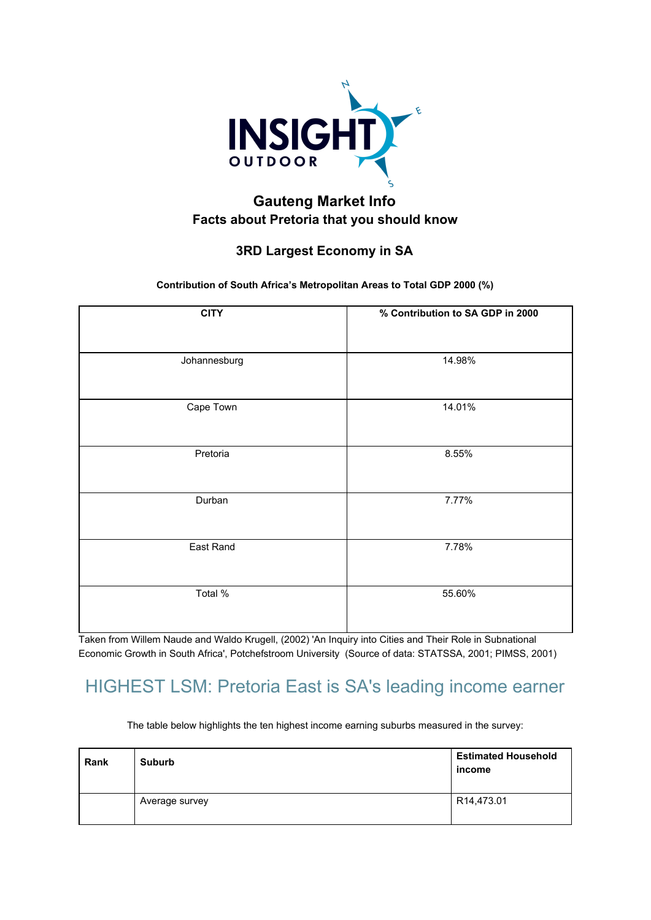

#### **Gauteng Market Info Facts about Pretoria that you should know**

#### **3RD Largest Economy in SA**

**Contribution of South Africa's Metropolitan Areas to Total GDP 2000 (%)**

| <b>CITY</b>  | % Contribution to SA GDP in 2000 |
|--------------|----------------------------------|
| Johannesburg | 14.98%                           |
| Cape Town    | 14.01%                           |
| Pretoria     | 8.55%                            |
| Durban       | 7.77%                            |
| East Rand    | 7.78%                            |
| Total %      | 55.60%                           |

Taken from Willem Naude and Waldo Krugell, (2002) 'An Inquiry into Cities and Their Role in Subnational Economic Growth in South Africa', Potchefstroom University (Source of data: STATSSA, 2001; PIMSS, 2001)

## HIGHEST LSM: Pretoria East is SA's leading income earner

The table below highlights the ten highest income earning suburbs measured in the survey:

| Rank | <b>Suburb</b>  | <b>Estimated Household</b><br>income |
|------|----------------|--------------------------------------|
|      | Average survey | R14,473.01                           |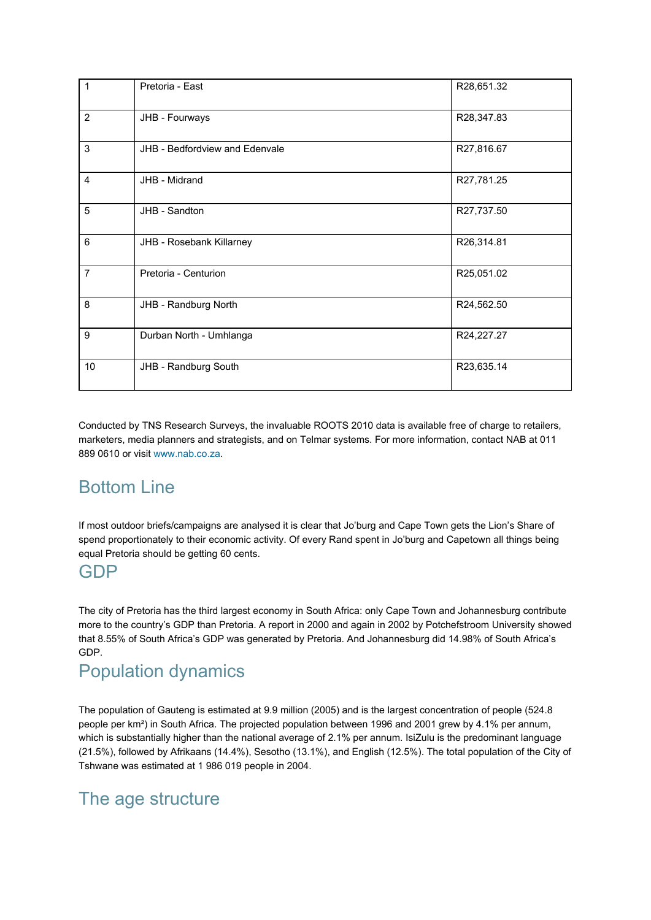| 1              | Pretoria - East                | R28,651.32 |
|----------------|--------------------------------|------------|
| $\overline{2}$ | JHB - Fourways                 | R28,347.83 |
| 3              | JHB - Bedfordview and Edenvale | R27,816.67 |
| $\overline{4}$ | JHB - Midrand                  | R27,781.25 |
| 5              | JHB - Sandton                  | R27,737.50 |
| 6              | JHB - Rosebank Killarney       | R26,314.81 |
| 7              | Pretoria - Centurion           | R25,051.02 |
| 8              | JHB - Randburg North           | R24,562.50 |
| 9              | Durban North - Umhlanga        | R24,227.27 |
| 10             | JHB - Randburg South           | R23,635.14 |

Conducted by TNS Research Surveys, the invaluable ROOTS 2010 data is available free of charge to retailers, marketers, media planners and strategists, and on Telmar systems. For more information, contact NAB at 011 889 0610 or visit [www.nab.co.za.](http://www.nab.co.za/)

# Bottom Line

If most outdoor briefs/campaigns are analysed it is clear that Jo'burg and Cape Town gets the Lion's Share of spend proportionately to their economic activity. Of every Rand spent in Jo'burg and Capetown all things being equal Pretoria should be getting 60 cents.

#### GDP

The city of Pretoria has the third largest economy in South Africa: only Cape Town and Johannesburg contribute more to the country's GDP than Pretoria. A report in 2000 and again in 2002 by Potchefstroom University showed that 8.55% of South Africa's GDP was generated by Pretoria. And Johannesburg did 14.98% of South Africa's GDP.

### Population dynamics

The population of Gauteng is estimated at 9.9 million (2005) and is the largest concentration of people (524.8 people per km²) in South Africa. The projected population between 1996 and 2001 grew by 4.1% per annum, which is substantially higher than the national average of 2.1% per annum. IsiZulu is the predominant language (21.5%), followed by Afrikaans (14.4%), Sesotho (13.1%), and English (12.5%). The total population of the City of Tshwane was estimated at 1 986 019 people in 2004.

# The age structure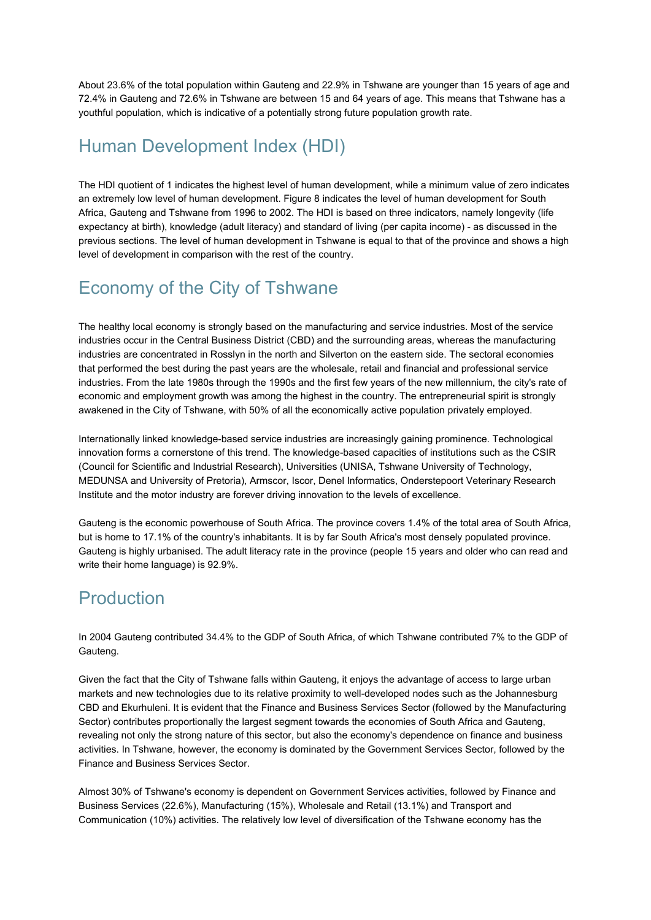About 23.6% of the total population within Gauteng and 22.9% in Tshwane are younger than 15 years of age and 72.4% in Gauteng and 72.6% in Tshwane are between 15 and 64 years of age. This means that Tshwane has a youthful population, which is indicative of a potentially strong future population growth rate.

## Human Development Index (HDI)

The HDI quotient of 1 indicates the highest level of human development, while a minimum value of zero indicates an extremely low level of human development. Figure 8 indicates the level of human development for South Africa, Gauteng and Tshwane from 1996 to 2002. The HDI is based on three indicators, namely longevity (life expectancy at birth), knowledge (adult literacy) and standard of living (per capita income) - as discussed in the previous sections. The level of human development in Tshwane is equal to that of the province and shows a high level of development in comparison with the rest of the country.

## Economy of the City of Tshwane

The healthy local economy is strongly based on the manufacturing and service industries. Most of the service industries occur in the Central Business District (CBD) and the surrounding areas, whereas the manufacturing industries are concentrated in Rosslyn in the north and Silverton on the eastern side. The sectoral economies that performed the best during the past years are the wholesale, retail and financial and professional service industries. From the late 1980s through the 1990s and the first few years of the new millennium, the city's rate of economic and employment growth was among the highest in the country. The entrepreneurial spirit is strongly awakened in the City of Tshwane, with 50% of all the economically active population privately employed.

Internationally linked knowledge-based service industries are increasingly gaining prominence. Technological innovation forms a cornerstone of this trend. The knowledge-based capacities of institutions such as the CSIR (Council for Scientific and Industrial Research), Universities (UNISA, Tshwane University of Technology, MEDUNSA and University of Pretoria), Armscor, Iscor, Denel Informatics, Onderstepoort Veterinary Research Institute and the motor industry are forever driving innovation to the levels of excellence.

Gauteng is the economic powerhouse of South Africa. The province covers 1.4% of the total area of South Africa, but is home to 17.1% of the country's inhabitants. It is by far South Africa's most densely populated province. Gauteng is highly urbanised. The adult literacy rate in the province (people 15 years and older who can read and write their home language) is 92.9%.

## Production

In 2004 Gauteng contributed 34.4% to the GDP of South Africa, of which Tshwane contributed 7% to the GDP of Gauteng.

Given the fact that the City of Tshwane falls within Gauteng, it enjoys the advantage of access to large urban markets and new technologies due to its relative proximity to well-developed nodes such as the Johannesburg CBD and Ekurhuleni. It is evident that the Finance and Business Services Sector (followed by the Manufacturing Sector) contributes proportionally the largest segment towards the economies of South Africa and Gauteng, revealing not only the strong nature of this sector, but also the economy's dependence on finance and business activities. In Tshwane, however, the economy is dominated by the Government Services Sector, followed by the Finance and Business Services Sector.

Almost 30% of Tshwane's economy is dependent on Government Services activities, followed by Finance and Business Services (22.6%), Manufacturing (15%), Wholesale and Retail (13.1%) and Transport and Communication (10%) activities. The relatively low level of diversification of the Tshwane economy has the